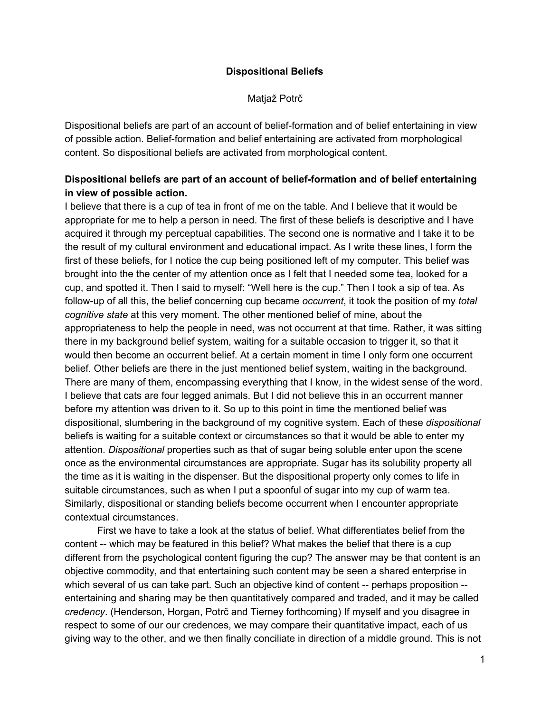### **Dispositional Beliefs**

Matjaž Potrč

Dispositional beliefs are part of an account of belief-formation and of belief entertaining in view of possible action. Belief-formation and belief entertaining are activated from morphological content. So dispositional beliefs are activated from morphological content.

# **Dispositional beliefs are part of an account of beliefformation and of belief entertaining in view of possible action.**

I believe that there is a cup of tea in front of me on the table. And I believe that it would be appropriate for me to help a person in need. The first of these beliefs is descriptive and I have acquired it through my perceptual capabilities. The second one is normative and I take it to be the result of my cultural environment and educational impact. As I write these lines, I form the first of these beliefs, for I notice the cup being positioned left of my computer. This belief was brought into the the center of my attention once as I felt that I needed some tea, looked for a cup, and spotted it. Then I said to myself: "Well here is the cup." Then I took a sip of tea. As follow-up of all this, the belief concerning cup became *occurrent*, it took the position of my *total cognitive state* at this very moment. The other mentioned belief of mine, about the appropriateness to help the people in need, was not occurrent at that time. Rather, it was sitting there in my background belief system, waiting for a suitable occasion to trigger it, so that it would then become an occurrent belief. At a certain moment in time I only form one occurrent belief. Other beliefs are there in the just mentioned belief system, waiting in the background. There are many of them, encompassing everything that I know, in the widest sense of the word. I believe that cats are four legged animals. But I did not believe this in an occurrent manner before my attention was driven to it. So up to this point in time the mentioned belief was dispositional, slumbering in the background of my cognitive system. Each of these *dispositional* beliefs is waiting for a suitable context or circumstances so that it would be able to enter my attention. *Dispositional* properties such as that of sugar being soluble enter upon the scene once as the environmental circumstances are appropriate. Sugar has its solubility property all the time as it is waiting in the dispenser. But the dispositional property only comes to life in suitable circumstances, such as when I put a spoonful of sugar into my cup of warm tea. Similarly, dispositional or standing beliefs become occurrent when I encounter appropriate contextual circumstances.

First we have to take a look at the status of belief. What differentiates belief from the content -- which may be featured in this belief? What makes the belief that there is a cup different from the psychological content figuring the cup? The answer may be that content is an objective commodity, and that entertaining such content may be seen a shared enterprise in which several of us can take part. Such an objective kind of content -- perhaps proposition -entertaining and sharing may be then quantitatively compared and traded, and it may be called *credency*. (Henderson, Horgan, Potrč and Tierney forthcoming) If myself and you disagree in respect to some of our our credences, we may compare their quantitative impact, each of us giving way to the other, and we then finally conciliate in direction of a middle ground. This is not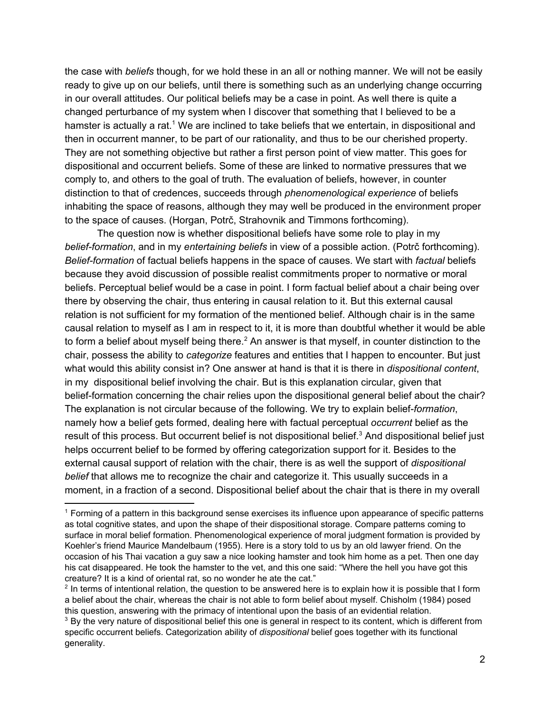the case with *beliefs* though, for we hold these in an all or nothing manner. We will not be easily ready to give up on our beliefs, until there is something such as an underlying change occurring in our overall attitudes. Our political beliefs may be a case in point. As well there is quite a changed perturbance of my system when I discover that something that I believed to be a hamster is actually a rat.<sup>1</sup> We are inclined to take beliefs that we entertain, in dispositional and then in occurrent manner, to be part of our rationality, and thus to be our cherished property. They are not something objective but rather a first person point of view matter. This goes for dispositional and occurrent beliefs. Some of these are linked to normative pressures that we comply to, and others to the goal of truth. The evaluation of beliefs, however, in counter distinction to that of credences, succeeds through *phenomenological experience* of beliefs inhabiting the space of reasons, although they may well be produced in the environment proper to the space of causes. (Horgan, Potrč, Strahovnik and Timmons forthcoming).

The question now is whether dispositional beliefs have some role to play in my *beliefformation*, and in my *entertaining beliefs* in view of a possible action. (Potrč forthcoming). *Beliefformation* of factual beliefs happens in the space of causes. We start with *factual* beliefs because they avoid discussion of possible realist commitments proper to normative or moral beliefs. Perceptual belief would be a case in point. I form factual belief about a chair being over there by observing the chair, thus entering in causal relation to it. But this external causal relation is not sufficient for my formation of the mentioned belief. Although chair is in the same causal relation to myself as I am in respect to it, it is more than doubtful whether it would be able to form a belief about myself being there.<sup>2</sup> An answer is that myself, in counter distinction to the chair, possess the ability to *categorize* features and entities that I happen to encounter. But just what would this ability consist in? One answer at hand is that it is there in *dispositional content*, in my dispositional belief involving the chair. But is this explanation circular, given that belief-formation concerning the chair relies upon the dispositional general belief about the chair? The explanation is not circular because of the following. We try to explain belief*formation*, namely how a belief gets formed, dealing here with factual perceptual *occurrent* belief as the result of this process. But occurrent belief is not dispositional belief. $3$  And dispositional belief just helps occurrent belief to be formed by offering categorization support for it. Besides to the external causal support of relation with the chair, there is as well the support of *dispositional belief* that allows me to recognize the chair and categorize it. This usually succeeds in a moment, in a fraction of a second. Dispositional belief about the chair that is there in my overall

<sup>1</sup> Forming of a pattern in this background sense exercises its influence upon appearance of specific patterns as total cognitive states, and upon the shape of their dispositional storage. Compare patterns coming to surface in moral belief formation. Phenomenological experience of moral judgment formation is provided by Koehler's friend Maurice Mandelbaum (1955). Here is a story told to us by an old lawyer friend. On the occasion of his Thai vacation a guy saw a nice looking hamster and took him home as a pet. Then one day his cat disappeared. He took the hamster to the vet, and this one said: "Where the hell you have got this creature? It is a kind of oriental rat, so no wonder he ate the cat."

<sup>&</sup>lt;sup>2</sup> In terms of intentional relation, the question to be answered here is to explain how it is possible that I form a belief about the chair, whereas the chair is not able to form belief about myself. Chisholm (1984) posed this question, answering with the primacy of intentional upon the basis of an evidential relation.

<sup>&</sup>lt;sup>3</sup> By the very nature of dispositional belief this one is general in respect to its content, which is different from specific occurrent beliefs. Categorization ability of *dispositional* belief goes together with its functional generality.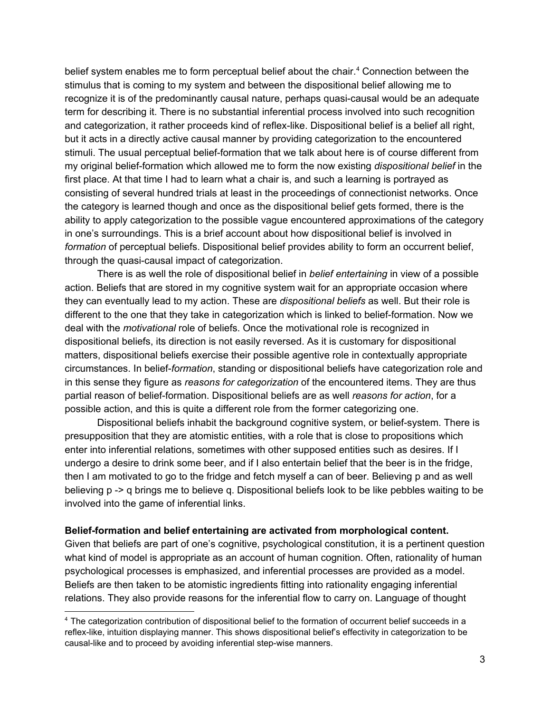belief system enables me to form perceptual belief about the chair.<sup>4</sup> Connection between the stimulus that is coming to my system and between the dispositional belief allowing me to recognize it is of the predominantly causal nature, perhaps quasi-causal would be an adequate term for describing it. There is no substantial inferential process involved into such recognition and categorization, it rather proceeds kind of reflex-like. Dispositional belief is a belief all right, but it acts in a directly active causal manner by providing categorization to the encountered stimuli. The usual perceptual belief-formation that we talk about here is of course different from my original beliefformation which allowed me to form the now existing *dispositional belief* in the first place. At that time I had to learn what a chair is, and such a learning is portrayed as consisting of several hundred trials at least in the proceedings of connectionist networks. Once the category is learned though and once as the dispositional belief gets formed, there is the ability to apply categorization to the possible vague encountered approximations of the category in one's surroundings. This is a brief account about how dispositional belief is involved in *formation* of perceptual beliefs. Dispositional belief provides ability to form an occurrent belief, through the quasi-causal impact of categorization.

There is as well the role of dispositional belief in *belief entertaining* in view of a possible action. Beliefs that are stored in my cognitive system wait for an appropriate occasion where they can eventually lead to my action. These are *dispositional beliefs* as well. But their role is different to the one that they take in categorization which is linked to belief-formation. Now we deal with the *motivational* role of beliefs. Once the motivational role is recognized in dispositional beliefs, its direction is not easily reversed. As it is customary for dispositional matters, dispositional beliefs exercise their possible agentive role in contextually appropriate circumstances. In belief*formation*, standing or dispositional beliefs have categorization role and in this sense they figure as *reasons for categorization* of the encountered items. They are thus partial reason of belief-formation. Dispositional beliefs are as well *reasons for action*, for a possible action, and this is quite a different role from the former categorizing one.

Dispositional beliefs inhabit the background cognitive system, or belief-system. There is presupposition that they are atomistic entities, with a role that is close to propositions which enter into inferential relations, sometimes with other supposed entities such as desires. If I undergo a desire to drink some beer, and if I also entertain belief that the beer is in the fridge, then I am motivated to go to the fridge and fetch myself a can of beer. Believing p and as well believing p -> q brings me to believe q. Dispositional beliefs look to be like pebbles waiting to be involved into the game of inferential links.

### **Beliefformation and belief entertaining are activated from morphological content.**

Given that beliefs are part of one's cognitive, psychological constitution, it is a pertinent question what kind of model is appropriate as an account of human cognition. Often, rationality of human psychological processes is emphasized, and inferential processes are provided as a model. Beliefs are then taken to be atomistic ingredients fitting into rationality engaging inferential relations. They also provide reasons for the inferential flow to carry on. Language of thought

<sup>4</sup> The categorization contribution of dispositional belief to the formation of occurrent belief succeeds in a reflex-like, intuition displaying manner. This shows dispositional belief's effectivity in categorization to be causal-like and to proceed by avoiding inferential step-wise manners.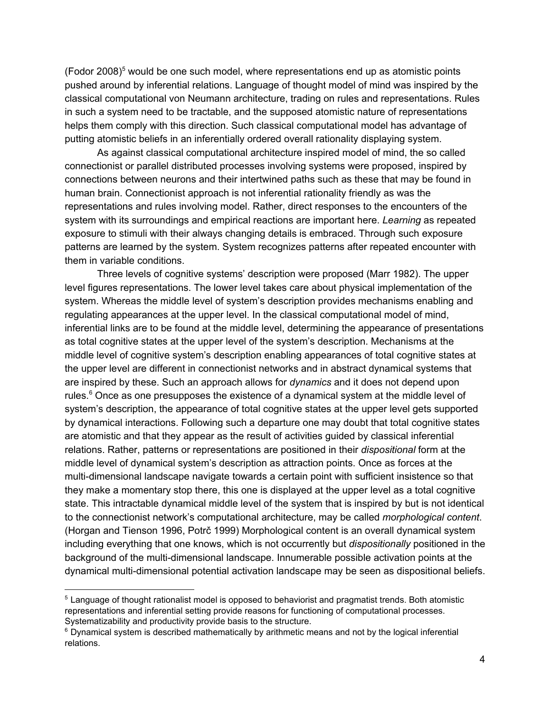(Fodor 2008) $<sup>5</sup>$  would be one such model, where representations end up as atomistic points</sup> pushed around by inferential relations. Language of thought model of mind was inspired by the classical computational von Neumann architecture, trading on rules and representations. Rules in such a system need to be tractable, and the supposed atomistic nature of representations helps them comply with this direction. Such classical computational model has advantage of putting atomistic beliefs in an inferentially ordered overall rationality displaying system.

As against classical computational architecture inspired model of mind, the so called connectionist or parallel distributed processes involving systems were proposed, inspired by connections between neurons and their intertwined paths such as these that may be found in human brain. Connectionist approach is not inferential rationality friendly as was the representations and rules involving model. Rather, direct responses to the encounters of the system with its surroundings and empirical reactions are important here. *Learning* as repeated exposure to stimuli with their always changing details is embraced. Through such exposure patterns are learned by the system. System recognizes patterns after repeated encounter with them in variable conditions.

Three levels of cognitive systems' description were proposed (Marr 1982). The upper level figures representations. The lower level takes care about physical implementation of the system. Whereas the middle level of system's description provides mechanisms enabling and regulating appearances at the upper level. In the classical computational model of mind, inferential links are to be found at the middle level, determining the appearance of presentations as total cognitive states at the upper level of the system's description. Mechanisms at the middle level of cognitive system's description enabling appearances of total cognitive states at the upper level are different in connectionist networks and in abstract dynamical systems that are inspired by these. Such an approach allows for *dynamics* and it does not depend upon rules. $6$  Once as one presupposes the existence of a dynamical system at the middle level of system's description, the appearance of total cognitive states at the upper level gets supported by dynamical interactions. Following such a departure one may doubt that total cognitive states are atomistic and that they appear as the result of activities guided by classical inferential relations. Rather, patterns or representations are positioned in their *dispositional* form at the middle level of dynamical system's description as attraction points. Once as forces at the multi-dimensional landscape navigate towards a certain point with sufficient insistence so that they make a momentary stop there, this one is displayed at the upper level as a total cognitive state. This intractable dynamical middle level of the system that is inspired by but is not identical to the connectionist network's computational architecture, may be called *morphological content*. (Horgan and Tienson 1996, Potrč 1999) Morphological content is an overall dynamical system including everything that one knows, which is not occurrently but *dispositionally* positioned in the background of the multi-dimensional landscape. Innumerable possible activation points at the dynamical multi-dimensional potential activation landscape may be seen as dispositional beliefs.

<sup>&</sup>lt;sup>5</sup> Language of thought rationalist model is opposed to behaviorist and pragmatist trends. Both atomistic representations and inferential setting provide reasons for functioning of computational processes. Systematizability and productivity provide basis to the structure.

 $6$  Dynamical system is described mathematically by arithmetic means and not by the logical inferential relations.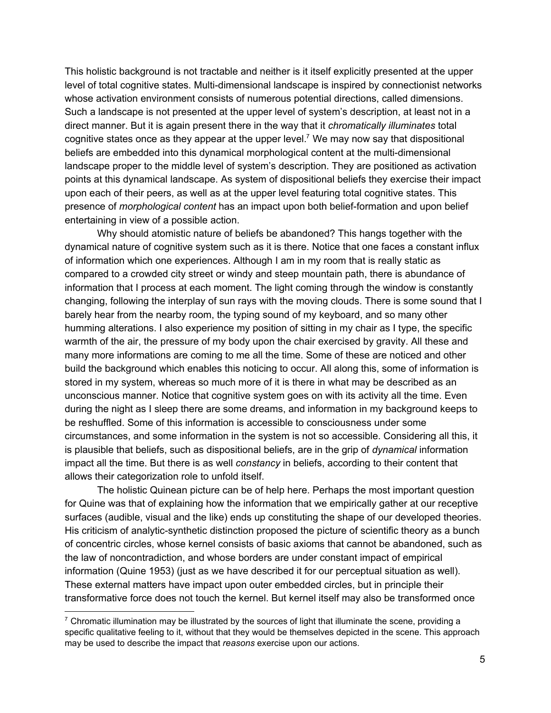This holistic background is not tractable and neither is it itself explicitly presented at the upper level of total cognitive states. Multi-dimensional landscape is inspired by connectionist networks whose activation environment consists of numerous potential directions, called dimensions. Such a landscape is not presented at the upper level of system's description, at least not in a direct manner. But it is again present there in the way that it *chromatically illuminates* total cognitive states once as they appear at the upper level.<sup>7</sup> We may now say that dispositional beliefs are embedded into this dynamical morphological content at the multi-dimensional landscape proper to the middle level of system's description. They are positioned as activation points at this dynamical landscape. As system of dispositional beliefs they exercise their impact upon each of their peers, as well as at the upper level featuring total cognitive states. This presence of *morphological content* has an impact upon both belief-formation and upon belief entertaining in view of a possible action.

Why should atomistic nature of beliefs be abandoned? This hangs together with the dynamical nature of cognitive system such as it is there. Notice that one faces a constant influx of information which one experiences. Although I am in my room that is really static as compared to a crowded city street or windy and steep mountain path, there is abundance of information that I process at each moment. The light coming through the window is constantly changing, following the interplay of sun rays with the moving clouds. There is some sound that I barely hear from the nearby room, the typing sound of my keyboard, and so many other humming alterations. I also experience my position of sitting in my chair as I type, the specific warmth of the air, the pressure of my body upon the chair exercised by gravity. All these and many more informations are coming to me all the time. Some of these are noticed and other build the background which enables this noticing to occur. All along this, some of information is stored in my system, whereas so much more of it is there in what may be described as an unconscious manner. Notice that cognitive system goes on with its activity all the time. Even during the night as I sleep there are some dreams, and information in my background keeps to be reshuffled. Some of this information is accessible to consciousness under some circumstances, and some information in the system is not so accessible. Considering all this, it is plausible that beliefs, such as dispositional beliefs, are in the grip of *dynamical* information impact all the time. But there is as well *constancy* in beliefs, according to their content that allows their categorization role to unfold itself.

The holistic Quinean picture can be of help here. Perhaps the most important question for Quine was that of explaining how the information that we empirically gather at our receptive surfaces (audible, visual and the like) ends up constituting the shape of our developed theories. His criticism of analytic-synthetic distinction proposed the picture of scientific theory as a bunch of concentric circles, whose kernel consists of basic axioms that cannot be abandoned, such as the law of noncontradiction, and whose borders are under constant impact of empirical information (Quine 1953) (just as we have described it for our perceptual situation as well). These external matters have impact upon outer embedded circles, but in principle their transformative force does not touch the kernel. But kernel itself may also be transformed once

 $7$  Chromatic illumination may be illustrated by the sources of light that illuminate the scene, providing a specific qualitative feeling to it, without that they would be themselves depicted in the scene. This approach may be used to describe the impact that *reasons* exercise upon our actions.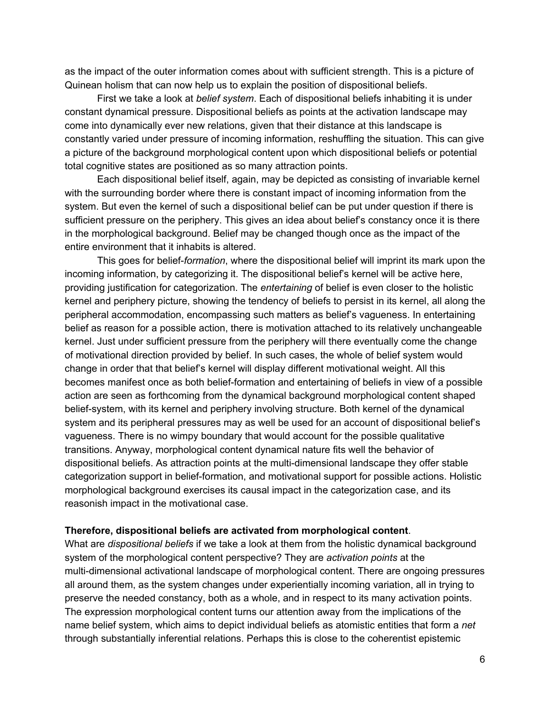as the impact of the outer information comes about with sufficient strength. This is a picture of Quinean holism that can now help us to explain the position of dispositional beliefs.

First we take a look at *belief system*. Each of dispositional beliefs inhabiting it is under constant dynamical pressure. Dispositional beliefs as points at the activation landscape may come into dynamically ever new relations, given that their distance at this landscape is constantly varied under pressure of incoming information, reshuffling the situation. This can give a picture of the background morphological content upon which dispositional beliefs or potential total cognitive states are positioned as so many attraction points.

Each dispositional belief itself, again, may be depicted as consisting of invariable kernel with the surrounding border where there is constant impact of incoming information from the system. But even the kernel of such a dispositional belief can be put under question if there is sufficient pressure on the periphery. This gives an idea about belief's constancy once it is there in the morphological background. Belief may be changed though once as the impact of the entire environment that it inhabits is altered.

This goes for belief*formation*, where the dispositional belief will imprint its mark upon the incoming information, by categorizing it. The dispositional belief's kernel will be active here, providing justification for categorization. The *entertaining* of belief is even closer to the holistic kernel and periphery picture, showing the tendency of beliefs to persist in its kernel, all along the peripheral accommodation, encompassing such matters as belief's vagueness. In entertaining belief as reason for a possible action, there is motivation attached to its relatively unchangeable kernel. Just under sufficient pressure from the periphery will there eventually come the change of motivational direction provided by belief. In such cases, the whole of belief system would change in order that that belief's kernel will display different motivational weight. All this becomes manifest once as both belief-formation and entertaining of beliefs in view of a possible action are seen as forthcoming from the dynamical background morphological content shaped belief-system, with its kernel and periphery involving structure. Both kernel of the dynamical system and its peripheral pressures may as well be used for an account of dispositional belief's vagueness. There is no wimpy boundary that would account for the possible qualitative transitions. Anyway, morphological content dynamical nature fits well the behavior of dispositional beliefs. As attraction points at the multi-dimensional landscape they offer stable categorization support in belief-formation, and motivational support for possible actions. Holistic morphological background exercises its causal impact in the categorization case, and its reasonish impact in the motivational case.

#### **Therefore, dispositional beliefs are activated from morphological content**.

What are *dispositional beliefs* if we take a look at them from the holistic dynamical background system of the morphological content perspective? They are *activation points* at the multi-dimensional activational landscape of morphological content. There are ongoing pressures all around them, as the system changes under experientially incoming variation, all in trying to preserve the needed constancy, both as a whole, and in respect to its many activation points. The expression morphological content turns our attention away from the implications of the name belief system, which aims to depict individual beliefs as atomistic entities that form a *net* through substantially inferential relations. Perhaps this is close to the coherentist epistemic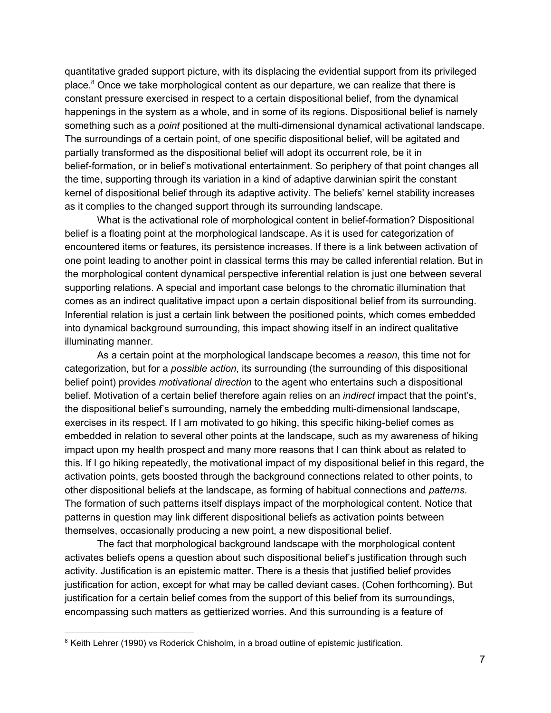quantitative graded support picture, with its displacing the evidential support from its privileged place.<sup>8</sup> Once we take morphological content as our departure, we can realize that there is constant pressure exercised in respect to a certain dispositional belief, from the dynamical happenings in the system as a whole, and in some of its regions. Dispositional belief is namely something such as a *point* positioned at the multi-dimensional dynamical activational landscape. The surroundings of a certain point, of one specific dispositional belief, will be agitated and partially transformed as the dispositional belief will adopt its occurrent role, be it in belief-formation, or in belief's motivational entertainment. So periphery of that point changes all the time, supporting through its variation in a kind of adaptive darwinian spirit the constant kernel of dispositional belief through its adaptive activity. The beliefs' kernel stability increases as it complies to the changed support through its surrounding landscape.

What is the activational role of morphological content in belief-formation? Dispositional belief is a floating point at the morphological landscape. As it is used for categorization of encountered items or features, its persistence increases. If there is a link between activation of one point leading to another point in classical terms this may be called inferential relation. But in the morphological content dynamical perspective inferential relation is just one between several supporting relations. A special and important case belongs to the chromatic illumination that comes as an indirect qualitative impact upon a certain dispositional belief from its surrounding. Inferential relation is just a certain link between the positioned points, which comes embedded into dynamical background surrounding, this impact showing itself in an indirect qualitative illuminating manner.

As a certain point at the morphological landscape becomes a *reason*, this time not for categorization, but for a *possible action*, its surrounding (the surrounding of this dispositional belief point) provides *motivational direction* to the agent who entertains such a dispositional belief. Motivation of a certain belief therefore again relies on an *indirect* impact that the point's, the dispositional belief's surrounding, namely the embedding multi-dimensional landscape, exercises in its respect. If I am motivated to go hiking, this specific hiking-belief comes as embedded in relation to several other points at the landscape, such as my awareness of hiking impact upon my health prospect and many more reasons that I can think about as related to this. If I go hiking repeatedly, the motivational impact of my dispositional belief in this regard, the activation points, gets boosted through the background connections related to other points, to other dispositional beliefs at the landscape, as forming of habitual connections and *patterns*. The formation of such patterns itself displays impact of the morphological content. Notice that patterns in question may link different dispositional beliefs as activation points between themselves, occasionally producing a new point, a new dispositional belief.

The fact that morphological background landscape with the morphological content activates beliefs opens a question about such dispositional belief's justification through such activity. Justification is an epistemic matter. There is a thesis that justified belief provides justification for action, except for what may be called deviant cases. (Cohen forthcoming). But justification for a certain belief comes from the support of this belief from its surroundings, encompassing such matters as gettierized worries. And this surrounding is a feature of

<sup>&</sup>lt;sup>8</sup> Keith Lehrer (1990) vs Roderick Chisholm, in a broad outline of epistemic justification.